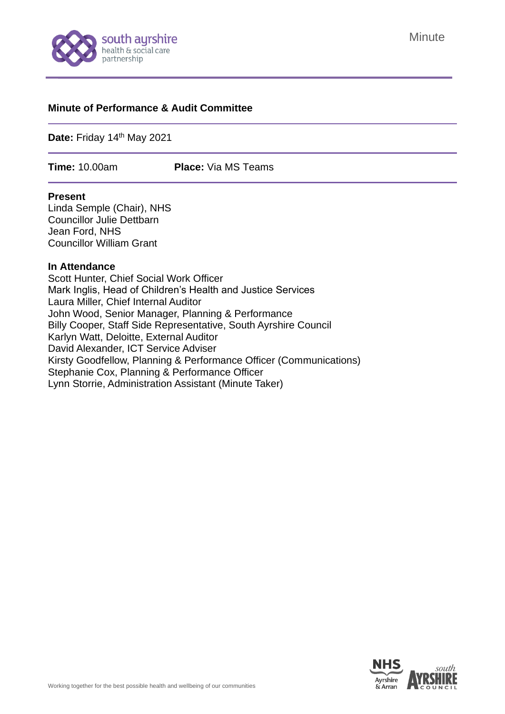

# **Minute**

#### **Minute of Performance & Audit Committee**

Date: Friday 14<sup>th</sup> May 2021

**Time:** 10.00am **Place:** Via MS Teams

#### **Present**

Linda Semple (Chair), NHS Councillor Julie Dettbarn Jean Ford, NHS Councillor William Grant

#### **In Attendance**

Scott Hunter, Chief Social Work Officer Mark Inglis, Head of Children's Health and Justice Services Laura Miller, Chief Internal Auditor John Wood, Senior Manager, Planning & Performance Billy Cooper, Staff Side Representative, South Ayrshire Council Karlyn Watt, Deloitte, External Auditor David Alexander, ICT Service Adviser Kirsty Goodfellow, Planning & Performance Officer (Communications) Stephanie Cox, Planning & Performance Officer Lynn Storrie, Administration Assistant (Minute Taker)

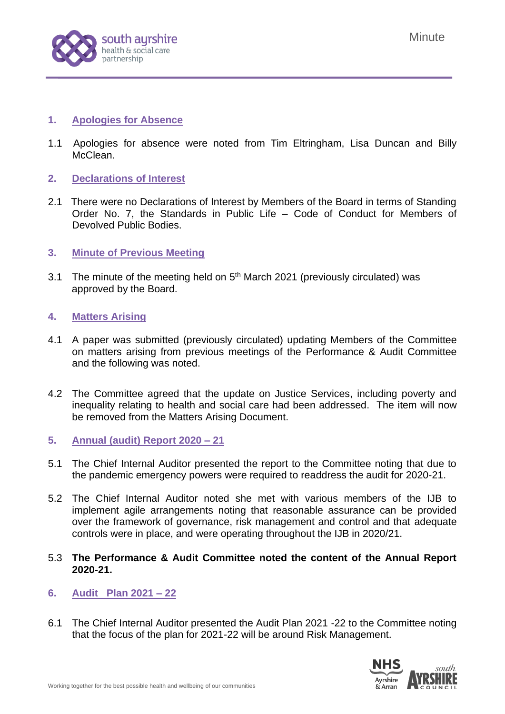

### **1. Apologies for Absence**

- 1.1 Apologies for absence were noted from Tim Eltringham, Lisa Duncan and Billy McClean
- **2. Declarations of Interest**
- 2.1 There were no Declarations of Interest by Members of the Board in terms of Standing Order No. 7, the Standards in Public Life – Code of Conduct for Members of Devolved Public Bodies.
- **3. Minute of Previous Meeting**
- 3.1 The minute of the meeting held on  $5<sup>th</sup>$  March 2021 (previously circulated) was approved by the Board.

### **4. Matters Arising**

- 4.1 A paper was submitted (previously circulated) updating Members of the Committee on matters arising from previous meetings of the Performance & Audit Committee and the following was noted.
- 4.2 The Committee agreed that the update on Justice Services, including poverty and inequality relating to health and social care had been addressed. The item will now be removed from the Matters Arising Document.
- **5. Annual (audit) Report 2020 – 21**
- 5.1 The Chief Internal Auditor presented the report to the Committee noting that due to the pandemic emergency powers were required to readdress the audit for 2020-21.
- 5.2 The Chief Internal Auditor noted she met with various members of the IJB to implement agile arrangements noting that reasonable assurance can be provided over the framework of governance, risk management and control and that adequate controls were in place, and were operating throughout the IJB in 2020/21.
- 5.3 **The Performance & Audit Committee noted the content of the Annual Report 2020-21.**
- **6. Audit Plan 2021 – 22**
- 6.1 The Chief Internal Auditor presented the Audit Plan 2021 -22 to the Committee noting that the focus of the plan for 2021-22 will be around Risk Management.

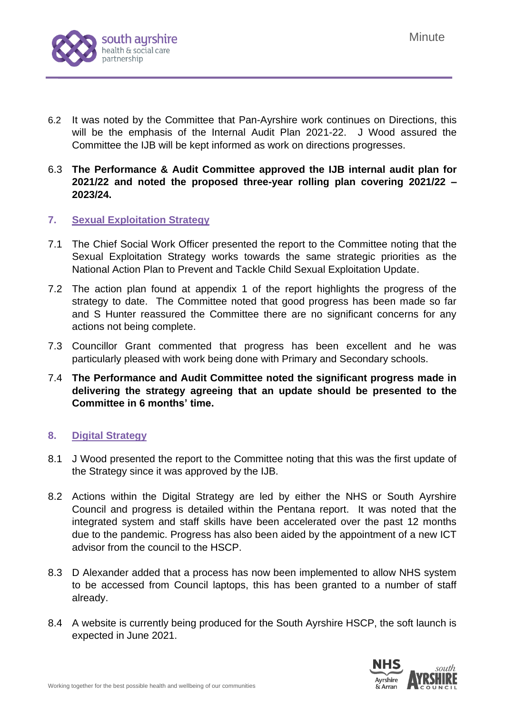

- 6.2 It was noted by the Committee that Pan-Ayrshire work continues on Directions, this will be the emphasis of the Internal Audit Plan 2021-22. J Wood assured the Committee the IJB will be kept informed as work on directions progresses.
- 6.3 **The Performance & Audit Committee approved the IJB internal audit plan for 2021/22 and noted the proposed three-year rolling plan covering 2021/22 – 2023/24.**

### **7. Sexual Exploitation Strategy**

- 7.1 The Chief Social Work Officer presented the report to the Committee noting that the Sexual Exploitation Strategy works towards the same strategic priorities as the National Action Plan to Prevent and Tackle Child Sexual Exploitation Update.
- 7.2 The action plan found at appendix 1 of the report highlights the progress of the strategy to date. The Committee noted that good progress has been made so far and S Hunter reassured the Committee there are no significant concerns for any actions not being complete.
- 7.3 Councillor Grant commented that progress has been excellent and he was particularly pleased with work being done with Primary and Secondary schools.
- 7.4 **The Performance and Audit Committee noted the significant progress made in delivering the strategy agreeing that an update should be presented to the Committee in 6 months' time.**

# **8. Digital Strategy**

- 8.1 J Wood presented the report to the Committee noting that this was the first update of the Strategy since it was approved by the IJB.
- 8.2 Actions within the Digital Strategy are led by either the NHS or South Ayrshire Council and progress is detailed within the Pentana report. It was noted that the integrated system and staff skills have been accelerated over the past 12 months due to the pandemic. Progress has also been aided by the appointment of a new ICT advisor from the council to the HSCP.
- 8.3 D Alexander added that a process has now been implemented to allow NHS system to be accessed from Council laptops, this has been granted to a number of staff already.
- 8.4 A website is currently being produced for the South Ayrshire HSCP, the soft launch is expected in June 2021.

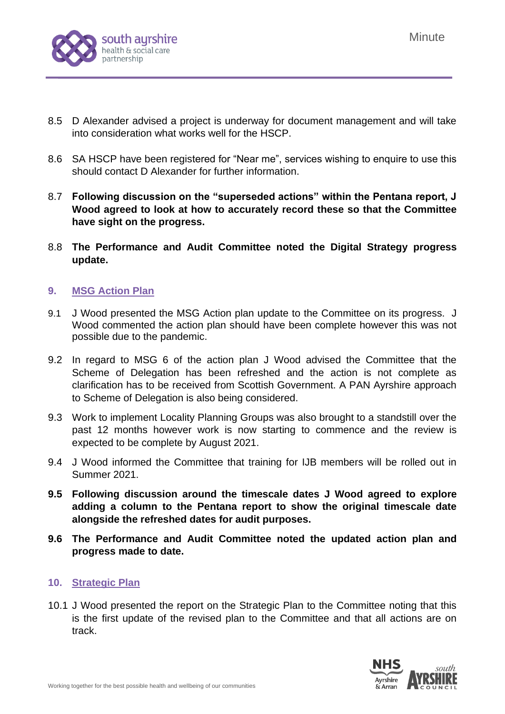

- 8.5 D Alexander advised a project is underway for document management and will take into consideration what works well for the HSCP.
- 8.6 SA HSCP have been registered for "Near me", services wishing to enquire to use this should contact D Alexander for further information.
- 8.7 **Following discussion on the "superseded actions" within the Pentana report, J Wood agreed to look at how to accurately record these so that the Committee have sight on the progress.**
- 8.8 **The Performance and Audit Committee noted the Digital Strategy progress update.**

# **9. MSG Action Plan**

- 9.1 J Wood presented the MSG Action plan update to the Committee on its progress. J Wood commented the action plan should have been complete however this was not possible due to the pandemic.
- 9.2 In regard to MSG 6 of the action plan J Wood advised the Committee that the Scheme of Delegation has been refreshed and the action is not complete as clarification has to be received from Scottish Government. A PAN Ayrshire approach to Scheme of Delegation is also being considered.
- 9.3 Work to implement Locality Planning Groups was also brought to a standstill over the past 12 months however work is now starting to commence and the review is expected to be complete by August 2021.
- 9.4 J Wood informed the Committee that training for IJB members will be rolled out in Summer 2021.
- **9.5 Following discussion around the timescale dates J Wood agreed to explore adding a column to the Pentana report to show the original timescale date alongside the refreshed dates for audit purposes.**
- **9.6 The Performance and Audit Committee noted the updated action plan and progress made to date.**

# **10. Strategic Plan**

10.1 J Wood presented the report on the Strategic Plan to the Committee noting that this is the first update of the revised plan to the Committee and that all actions are on track.